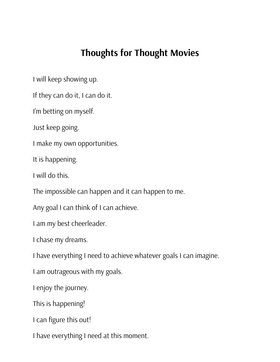# **Thoughts for Thought Movies**

I will keep showing up.

If they can do it, I can do it.

I'm betting on myself.

Just keep going.

I make my own opportunities.

It is happening.

I will do this.

The impossible can happen and it can happen to me.

Any goal I can think of I can achieve.

I am my best cheerleader.

I chase my dreams.

I have everything I need to achieve whatever goals I can imagine.

I am outrageous with my goals.

I enjoy the journey.

This is happening!

I can figure this out!

I have everything I need at this moment.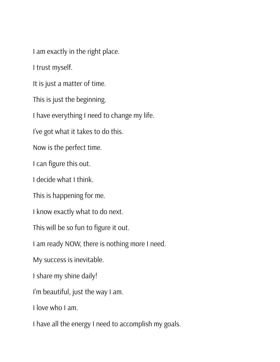I am exactly in the right place.

I trust myself.

It is just a matter of time.

This is just the beginning.

I have everything I need to change my life.

I've got what it takes to do this.

Now is the perfect time.

I can figure this out.

I decide what I think.

This is happening for me.

I know exactly what to do next.

This will be so fun to figure it out.

I am ready NOW, there is nothing more I need.

My success is inevitable.

I share my shine daily!

I'm beautiful, just the way I am.

I love who I am.

I have all the energy I need to accomplish my goals.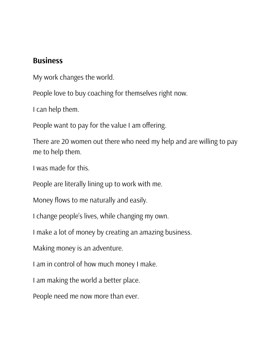#### **Business**

My work changes the world.

People love to buy coaching for themselves right now.

I can help them.

People want to pay for the value I am offering.

There are 20 women out there who need my help and are willing to pay me to help them.

I was made for this.

People are literally lining up to work with me.

Money flows to me naturally and easily.

I change people's lives, while changing my own.

I make a lot of money by creating an amazing business.

Making money is an adventure.

I am in control of how much money I make.

I am making the world a better place.

People need me now more than ever.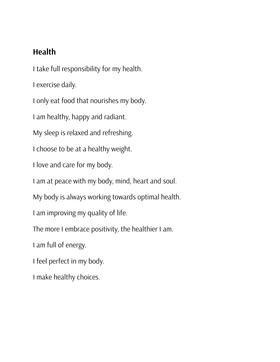## **Health**

I take full responsibility for my health.

I exercise daily.

I only eat food that nourishes my body.

I am healthy, happy and radiant.

My sleep is relaxed and refreshing.

I choose to be at a healthy weight.

I love and care for my body.

I am at peace with my body, mind, heart and soul.

My body is always working towards optimal health.

I am improving my quality of life.

The more I embrace positivity, the healthier I am.

I am full of energy.

I feel perfect in my body.

I make healthy choices.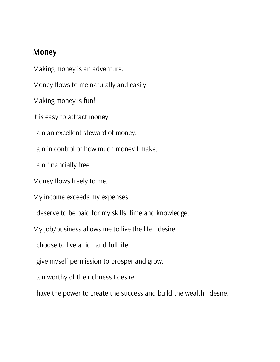### **Money**

Making money is an adventure.

Money flows to me naturally and easily.

Making money is fun!

It is easy to attract money.

I am an excellent steward of money.

I am in control of how much money I make.

I am financially free.

Money flows freely to me.

My income exceeds my expenses.

I deserve to be paid for my skills, time and knowledge.

My job/business allows me to live the life I desire.

I choose to live a rich and full life.

I give myself permission to prosper and grow.

I am worthy of the richness I desire.

I have the power to create the success and build the wealth I desire.